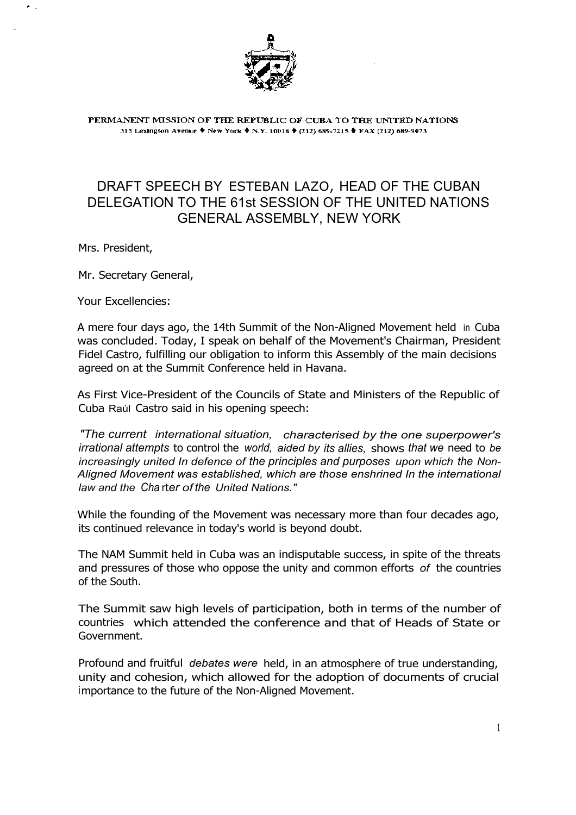

PERMANENT MISSION OF THE REPUBLIC OF CUBA TO THE UNITED NATIONS 315 Lexington Avenue ♦ New York ♦ N.Y. 10016 ♦ (212) 689-7215 ♦ FAX (212) 689-9073

## DRAFT SPEECH BY ESTEBAN LAZO, HEAD OF THE CUBAN DELEGATION TO THE 61st SESSION OF THE UNITED NATIONS GENERAL ASSEMBLY, NEW YORK

Mrs. President,

Mr. Secretary General,

Your Excellencies:

A mere four days ago, the 14th Summit of the Non-Aligned Movement held in Cuba was concluded. Today, I speak on behalf of the Movement's Chairman, President Fidel Castro, fulfilling our obligation to inform this Assembly of the main decisions agreed on at the Summit Conference held in Havana.

As First Vice-President of the Councils of State and Ministers of the Republic of Cuba Raúl Castro said in his opening speech:

*"The current international situation, characterised by the one superpower's irrational attempts* to control the *world, aided by its allies,* shows *that we* need to *be increasingly united In defence of the principles and purposes upon which the Non-Aligned Movement was established, which are those enshrined In the international law and the Cha* rt*er of the United Nations."*

While the founding of the Movement was necessary more than four decades ago, its continued relevance in today's world is beyond doubt.

The NAM Summit held in Cuba was an indisputable success, in spite of the threats and pressures of those who oppose the unity and common efforts *of* the countries of the South.

The Summit saw high levels of participation, both in terms of the number of countries which attended the conference and that of Heads of State or Government.

Profound and fruitful *debates were* held, in an atmosphere of true understanding, unity and cohesion, which allowed for the adoption of documents of crucial importance to the future of the Non-Aligned Movement.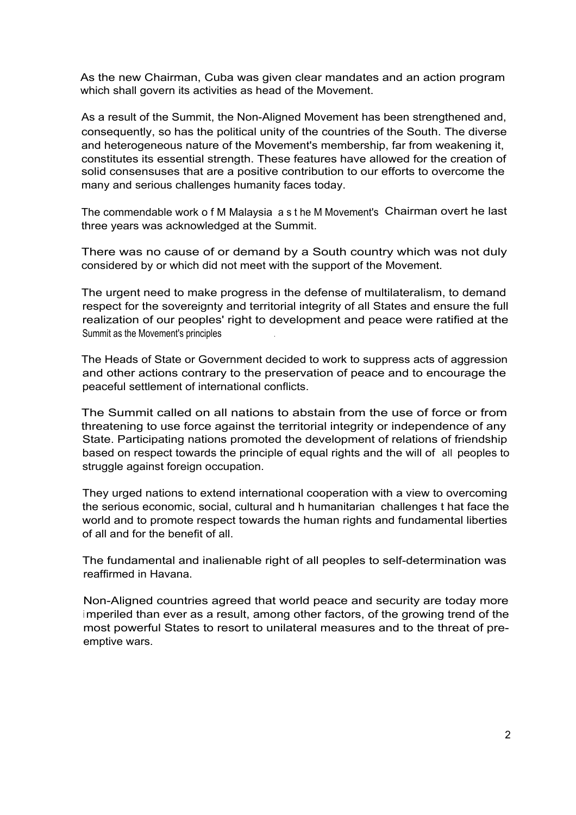As the new Chairman, Cuba was given clear mandates and an action program which shall govern its activities as head of the Movement.

As a result of the Summit, the Non-Aligned Movement has been strengthened and, consequently, so has the political unity of the countries of the South. The diverse and heterogeneous nature of the Movement's membership, far from weakening it, constitutes its essential strength. These features have allowed for the creation of solid consensuses that are a positive contribution to our efforts to overcome the many and serious challenges humanity faces today.

The commendable work o f M Malaysia a s t he M Movement's Chairman overt he last three years was acknowledged at the Summit.

There was no cause of or demand by a South country which was not duly considered by or which did not meet with the support of the Movement.

The urgent need to make progress in the defense of multilateralism, to demand respect for the sovereignty and territorial integrity of all States and ensure the full realization of our peoples' right to development and peace were ratified at the Summit as the Movement's principles .

The Heads of State or Government decided to work to suppress acts of aggression and other actions contrary to the preservation of peace and to encourage the peaceful settlement of international conflicts.

The Summit called on all nations to abstain from the use of force or from threatening to use force against the territorial integrity or independence of any State. Participating nations promoted the development of relations of friendship based on respect towards the principle of equal rights and the will of all peoples to struggle against foreign occupation.

They urged nations to extend international cooperation with a view to overcoming the serious economic, social, cultural and h humanitarian challenges t hat face the world and to promote respect towards the human rights and fundamental liberties of all and for the benefit of all.

The fundamental and inalienable right of all peoples to self-determination was reaffirmed in Havana.

Non-Aligned countries agreed that world peace and security are today more <sup>i</sup> mperiled than ever as a result, among other factors, of the growing trend of the most powerful States to resort to unilateral measures and to the threat of preemptive wars.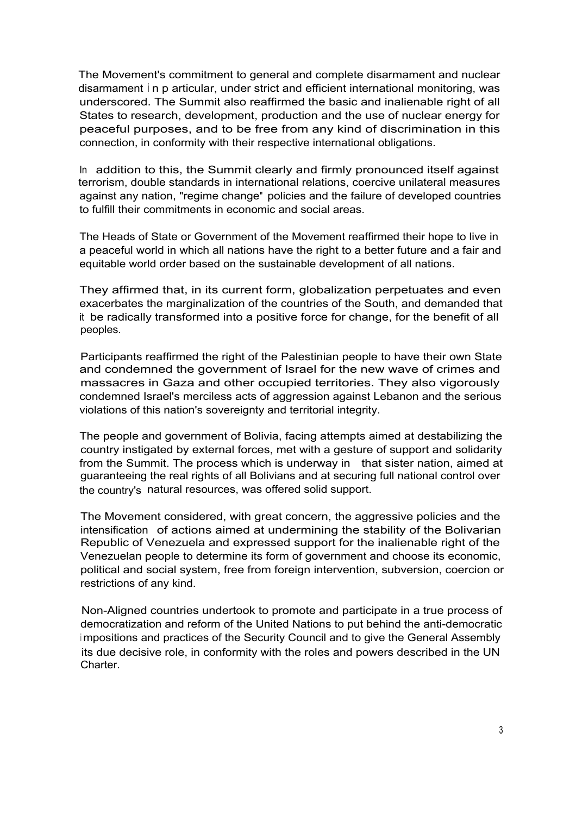The Movement's commitment to general and complete disarmament and nuclear disarmament <sup>i</sup> n p articular, under strict and efficient international monitoring, was underscored. The Summit also reaffirmed the basic and inalienable right of all States to research, development, production and the use of nuclear energy for peaceful purposes, and to be free from any kind of discrimination in this connection, in conformity with their respective international obligations.

In addition to this, the Summit clearly and firmly pronounced itself against terrorism, double standards in international relations, coercive unilateral measures against any nation, "regime change" policies and the failure of developed countries to fulfill their commitments in economic and social areas.

The Heads of State or Government of the Movement reaffirmed their hope to live in a peaceful world in which all nations have the right to a better future and a fair and equitable world order based on the sustainable development of all nations.

They affirmed that, in its current form, globalization perpetuates and even exacerbates the marginalization of the countries of the South, and demanded that it be radically transformed into a positive force for change, for the benefit of all peoples.

Participants reaffirmed the right of the Palestinian people to have their own State and condemned the government of Israel for the new wave of crimes and massacres in Gaza and other occupied territories. They also vigorously condemned Israel's merciless acts of aggression against Lebanon and the serious violations of this nation's sovereignty and territorial integrity.

The people and government of Bolivia, facing attempts aimed at destabilizing the country instigated by external forces, met with a gesture of support and solidarity from the Summit. The process which is underway in that sister nation, aimed at guaranteeing the real rights of all Bolivians and at securing full national control over the country's natural resources, was offered solid support.

The Movement considered, with great concern, the aggressive policies and the intensification of actions aimed at undermining the stability of the Bolivarian Republic of Venezuela and expressed support for the inalienable right of the Venezuelan people to determine its form of government and choose its economic, political and social system, free from foreign intervention, subversion, coercion or restrictions of any kind.

Non-Aligned countries undertook to promote and participate in a true process of democratization and reform of the United Nations to put behind the anti-democratic <sup>i</sup> mpositions and practices of the Security Council and to give the General Assembly its due decisive role, in conformity with the roles and powers described in the UN Charter.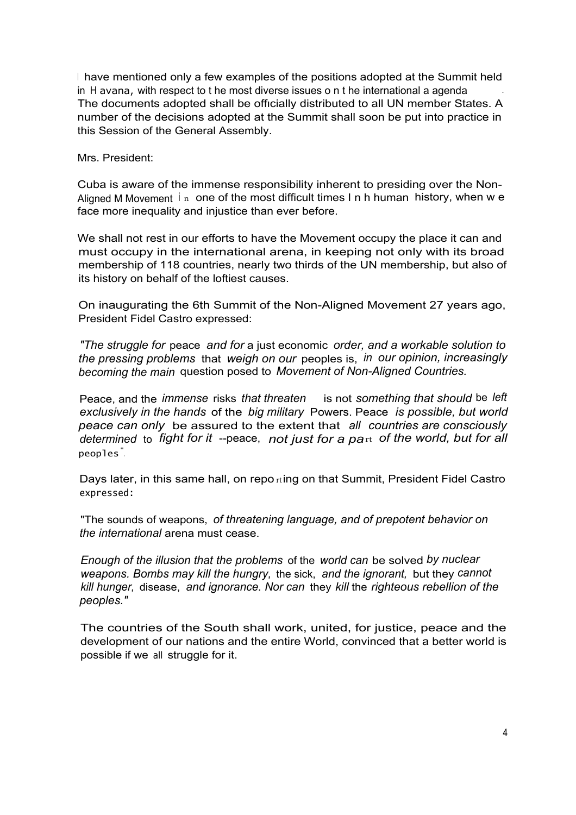I have mentioned only a few examples of the positions adopted at the Summit held in H avana, with respect to t he most diverse issues o n t he international a agenda The documents adopted shall be offιcially distributed to all UN member States. A number of the decisions adopted at the Summit shall soon be put into practice in this Session of the General Assembly.

Mrs. President:

Cuba is aware of the immense responsibility inherent to presiding over the Non-Aligned M Movement  $\ln$  one of the most difficult times I n h human history, when w e face more inequality and injustice than ever before.

We shall not rest in our efforts to have the Movement occupy the place it can and must occupy in the international arena, in keeping not only with its broad membership of 118 countries, nearly two thirds of the UN membership, but also of its history on behalf of the loftiest causes.

On inaugurating the 6th Summit of the Non-Aligned Movement 27 years ago, President Fidel Castro expressed:

*"The struggle for* peace *and for* a just economic *order, and a workable solution to the pressing problems* that *weigh on our* peoples is, *in our opinion, increasingly becoming the main* question posed to *Movement of Non-Aligned Countries.*

Peace, and the *immense* risks *that threaten* is not *something that should* be *left exclusively in the hands* of the *big military* Powers. Peace *is possible, but world peace can only* be assured to the extent that *all countries are consciously determined* to *fight for it* --peace, *not just for a pa*rt *of the world, but for all* peoples" .

Days later, in this same hall, on repo  $\pi$ ing on that Summit, President Fidel Castro expressed:

"The sounds of weapons, *of threatening language, and of prepotent behavior on the international* arena must cease.

*Enough of the illusion that the problems* of the *world can* be solved *by nuclear weapons. Bombs may kill the hungry,* the sick, *and the ignorant,* but they *cannot kill hunger,* disease, *and ignorance. Nor can* they *kill* the *righteous rebellion of the peoples."*

The countries of the South shall work, united, for justice, peace and the development of our nations and the entire World, convinced that a better world is possible if we all struggle for it.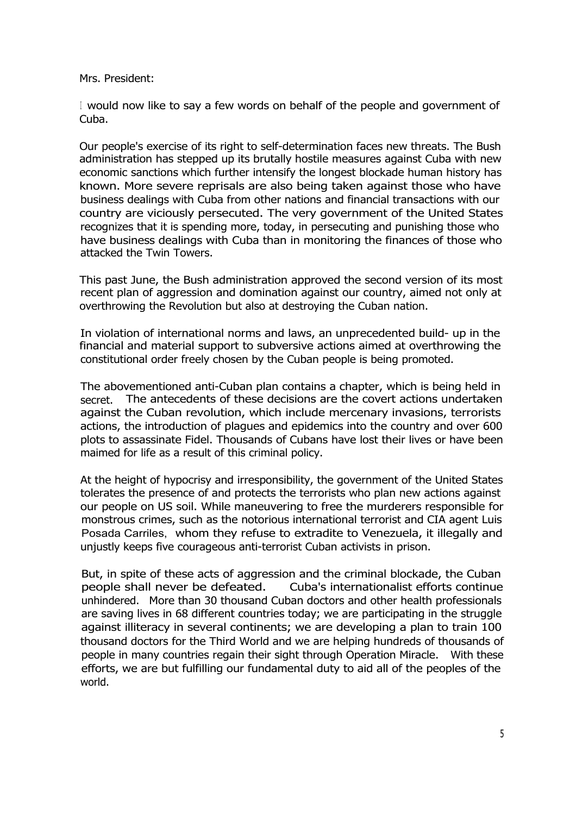Mrs. President:

<sup>I</sup> would now like to say a few words on behalf of the people and government of Cuba.

Our people's exercise of its right to self-determination faces new threats. The Bush administration has stepped up its brutally hostile measures against Cuba with new economic sanctions which further intensify the longest blockade human history has known. More severe reprisals are also being taken against those who have business dealings with Cuba from other nations and financial transactions with our country are viciously persecuted. The very government of the United States recognizes that it is spending more, today, in persecuting and punishing those who have business dealings with Cuba than in monitoring the finances of those who attacked the Twin Towers.

This past June, the Bush administration approved the second version of its most recent plan of aggression and domination against our country, aimed not only at overthrowing the Revolution but also at destroying the Cuban nation.

In violation of international norms and laws, an unprecedented build- up in the financial and material support to subversive actions aimed at overthrowing the constitutional order freely chosen by the Cuban people is being promoted.

The abovementioned anti-Cuban plan contains a chapter, which is being held in secret. The antecedents of these decisions are the covert actions undertaken against the Cuban revolution, which include mercenary invasions, terrorists actions, the introduction of plagues and epidemics into the country and over 600 plots to assassinate Fidel. Thousands of Cubans have lost their lives or have been maimed for life as a result of this criminal policy.

At the height of hypocrisy and irresponsibility, the government of the United States tolerates the presence of and protects the terrorists who plan new actions against our people on US soil. While maneuvering to free the murderers responsible for monstrous crimes, such as the notorious international terrorist and CIA agent Luis Posada Carriles, whom they refuse to extradite to Venezuela, it illegally and unjustly keeps five courageous anti-terrorist Cuban activists in prison.

But, in spite of these acts of aggression and the criminal blockade, the Cuban people shall never be defeated. Cuba's internationalist efforts continue unhindered. More than 30 thousand Cuban doctors and other health professionals are saving lives in 68 different countries today; we are participating in the struggle against illiteracy in several continents; we are developing a plan to train 100 thousand doctors for the Third World and we are helping hundreds of thousands of people in many countries regain their sight through Operation Miracle. With these efforts, we are but fulfilling our fundamental duty to aid all of the peoples of the world.